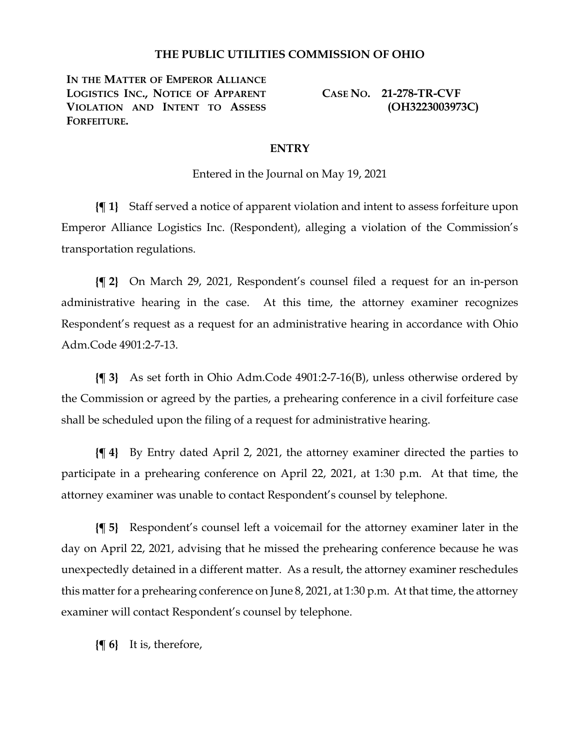## **THE PUBLIC UTILITIES COMMISSION OF OHIO**

**IN THE MATTER OF EMPEROR ALLIANCE LOGISTICS INC., NOTICE OF APPARENT VIOLATION AND INTENT TO ASSESS FORFEITURE.**

**CASE NO. 21-278-TR-CVF (OH3223003973C)**

## **ENTRY**

Entered in the Journal on May 19, 2021

**{¶ 1}** Staff served a notice of apparent violation and intent to assess forfeiture upon Emperor Alliance Logistics Inc. (Respondent), alleging a violation of the Commission's transportation regulations.

**{¶ 2}** On March 29, 2021, Respondent's counsel filed a request for an in-person administrative hearing in the case. At this time, the attorney examiner recognizes Respondent's request as a request for an administrative hearing in accordance with Ohio Adm.Code 4901:2-7-13.

**{¶ 3}** As set forth in Ohio Adm.Code 4901:2-7-16(B), unless otherwise ordered by the Commission or agreed by the parties, a prehearing conference in a civil forfeiture case shall be scheduled upon the filing of a request for administrative hearing.

**{¶ 4}** By Entry dated April 2, 2021, the attorney examiner directed the parties to participate in a prehearing conference on April 22, 2021, at 1:30 p.m. At that time, the attorney examiner was unable to contact Respondent's counsel by telephone.

**{¶ 5}** Respondent's counsel left a voicemail for the attorney examiner later in the day on April 22, 2021, advising that he missed the prehearing conference because he was unexpectedly detained in a different matter. As a result, the attorney examiner reschedules this matter for a prehearing conference on June 8, 2021, at 1:30 p.m. At that time, the attorney examiner will contact Respondent's counsel by telephone.

**{¶ 6}** It is, therefore,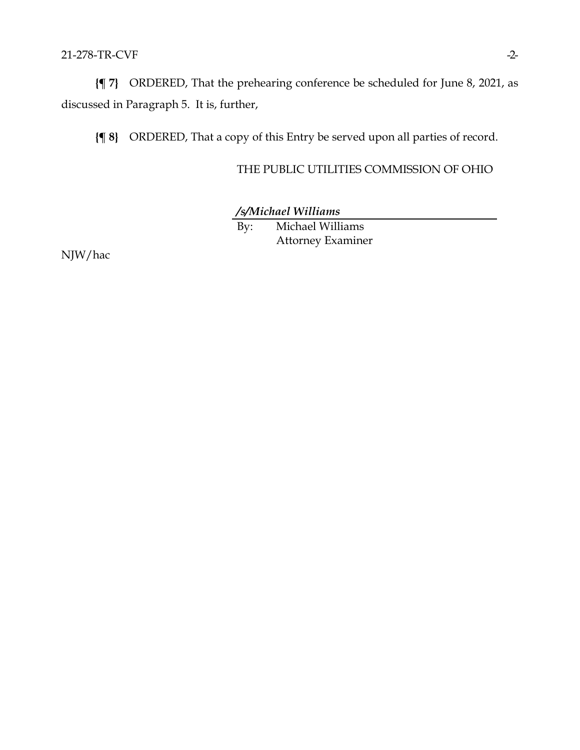21-278-TR-CVF -2-

**{¶ 7}** ORDERED, That the prehearing conference be scheduled for June 8, 2021, as discussed in Paragraph 5. It is, further,

**{¶ 8}** ORDERED, That a copy of this Entry be served upon all parties of record.

THE PUBLIC UTILITIES COMMISSION OF OHIO

*/s/Michael Williams*

By: Michael Williams Attorney Examiner

NJW/hac